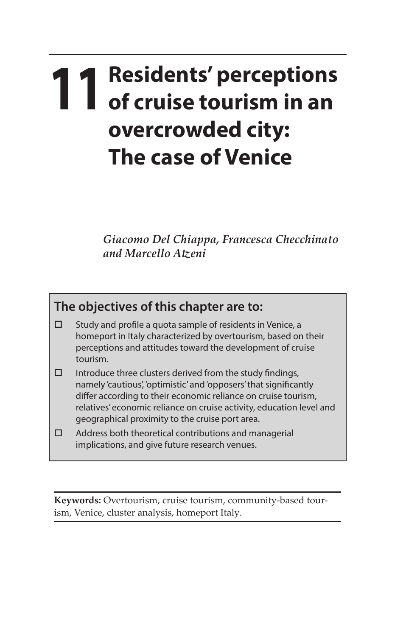## **11 Residents' perceptions of cruise tourism in an overcrowded city: The case of Venice**

*Giacomo Del Chiappa, Francesca Checchinato and Marcello Atzeni*

## **The objectives of this chapter are to:**

- $\square$  Study and profile a quota sample of residents in Venice, a homeport in Italy characterized by overtourism, based on their perceptions and attitudes toward the development of cruise tourism.
- $\square$  Introduce three clusters derived from the study findings, namely 'cautious', 'optimistic' and 'opposers' that significantly differ according to their economic reliance on cruise tourism, relatives' economic reliance on cruise activity, education level and geographical proximity to the cruise port area.
- $\Box$  Address both theoretical contributions and managerial implications, and give future research venues.

**Keywords:** Overtourism, cruise tourism, community-based tourism, Venice, cluster analysis, homeport Italy.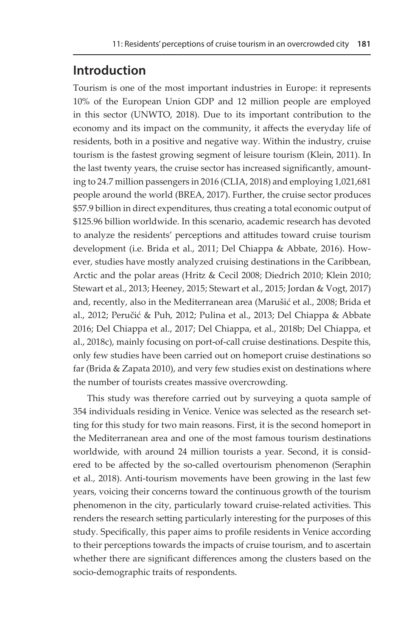## **Introduction**

Tourism is one of the most important industries in Europe: it represents 10% of the European Union GDP and 12 million people are employed in this sector (UNWTO, 2018). Due to its important contribution to the economy and its impact on the community, it affects the everyday life of residents, both in a positive and negative way. Within the industry, cruise tourism is the fastest growing segment of leisure tourism (Klein, 2011). In the last twenty years, the cruise sector has increased significantly, amounting to 24.7 million passengers in 2016 (CLIA, 2018) and employing 1,021,681 people around the world (BREA, 2017). Further, the cruise sector produces \$57.9 billion in direct expenditures, thus creating a total economic output of \$125.96 billion worldwide. In this scenario, academic research has devoted to analyze the residents' perceptions and attitudes toward cruise tourism development (i.e. Brida et al., 2011; Del Chiappa & Abbate, 2016). However, studies have mostly analyzed cruising destinations in the Caribbean, Arctic and the polar areas (Hritz & Cecil 2008; Diedrich 2010; Klein 2010; Stewart et al., 2013; Heeney, 2015; Stewart et al., 2015; Jordan & Vogt, 2017) and, recently, also in the Mediterranean area (Marušić et al., 2008; Brida et al., 2012; Peručić & Puh, 2012; Pulina et al., 2013; Del Chiappa & Abbate 2016; Del Chiappa et al., 2017; Del Chiappa, et al., 2018b; Del Chiappa, et al., 2018c), mainly focusing on port-of-call cruise destinations. Despite this, only few studies have been carried out on homeport cruise destinations so far (Brida & Zapata 2010), and very few studies exist on destinations where the number of tourists creates massive overcrowding.

 This study was therefore carried out by surveying a quota sample of 354 individuals residing in Venice. Venice was selected as the research setting for this study for two main reasons. First, it is the second homeport in the Mediterranean area and one of the most famous tourism destinations worldwide, with around 24 million tourists a year. Second, it is considered to be affected by the so-called overtourism phenomenon (Seraphin et al., 2018). Anti-tourism movements have been growing in the last few years, voicing their concerns toward the continuous growth of the tourism phenomenon in the city, particularly toward cruise-related activities. This renders the research setting particularly interesting for the purposes of this study. Specifically, this paper aims to profile residents in Venice according to their perceptions towards the impacts of cruise tourism, and to ascertain whether there are significant differences among the clusters based on the socio-demographic traits of respondents.